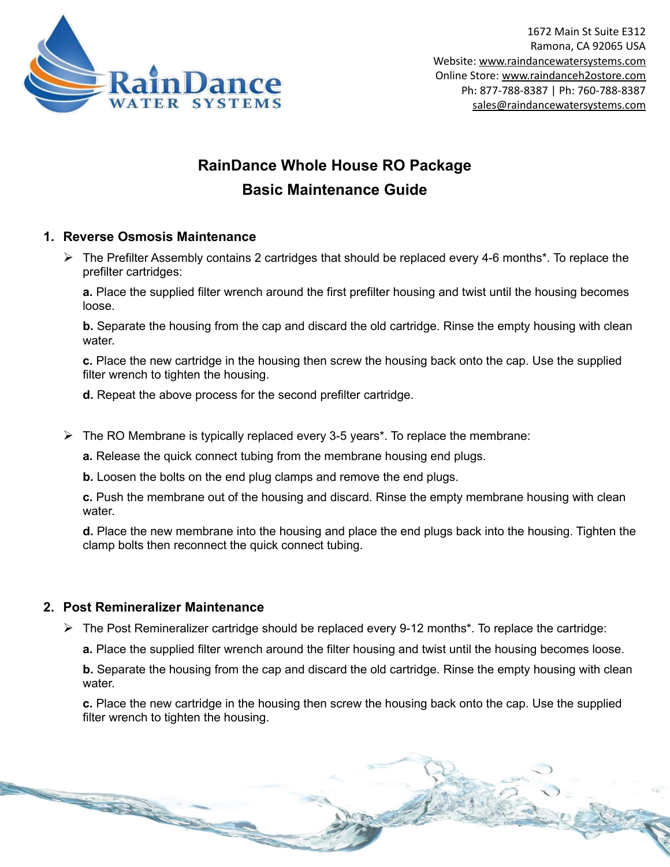

## **RainDance Whole House RO Package Basic Maintenance Guide**

### **1. Reverse Osmosis Maintenance**

 $\triangleright$  The Prefilter Assembly contains 2 cartridges that should be replaced every 4-6 months\*. To replace the prefilter cartridges:

**a.** Place the supplied filter wrench around the first prefilter housing and twist until the housing becomes loose.

**b.** Separate the housing from the cap and discard the old cartridge. Rinse the empty housing with clean water.

**c.** Place the new cartridge in the housing then screw the housing back onto the cap. Use the supplied filter wrench to tighten the housing.

**d.** Repeat the above process for the second prefilter cartridge.

 $\triangleright$  The RO Membrane is typically replaced every 3-5 years<sup>\*</sup>. To replace the membrane:

**a.** Release the quick connect tubing from the membrane housing end plugs.

**b.** Loosen the bolts on the end plug clamps and remove the end plugs.

**c.** Push the membrane out of the housing and discard. Rinse the empty membrane housing with clean water.

**d.** Place the new membrane into the housing and place the end plugs back into the housing. Tighten the clamp bolts then reconnect the quick connect tubing.

#### **2. Post Remineralizer Maintenance**

**CONTRACTOR** 

 $\triangleright$  The Post Remineralizer cartridge should be replaced every 9-12 months<sup>\*</sup>. To replace the cartridge:

**a.** Place the supplied filter wrench around the filter housing and twist until the housing becomes loose.

**b.** Separate the housing from the cap and discard the old cartridge. Rinse the empty housing with clean water

**c.** Place the new cartridge in the housing then screw the housing back onto the cap. Use the supplied filter wrench to tighten the housing.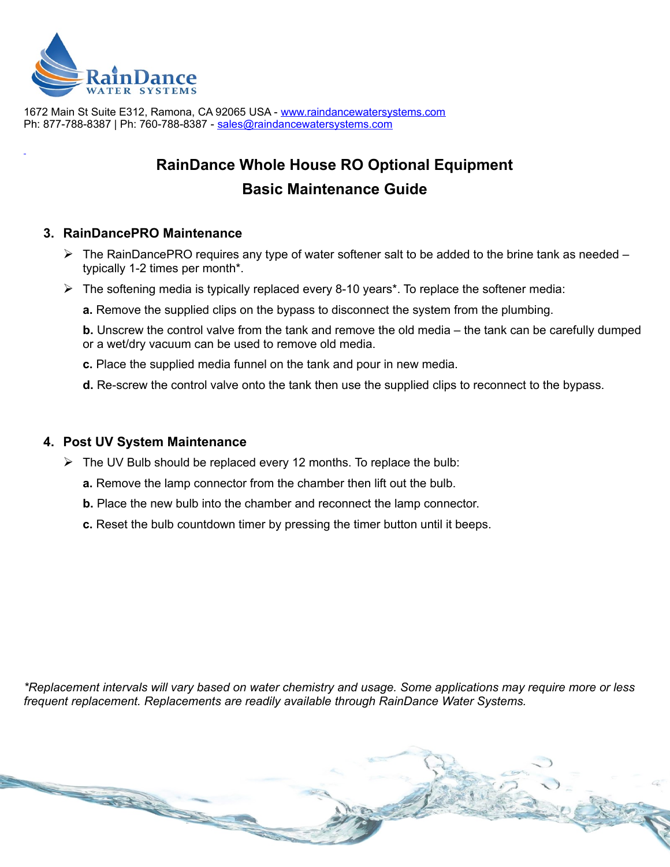

1672 Main St Suite E312, Ramona, CA 92065 USA - [www.raindancewatersystems.com](https://www.raindancewatersystems.com/) Ph: 877-788-8387 | Ph: 760-788-8387 - [s ales @raindancewatersystems.com](mailto:sales@raindancewatersystems.com)

# **RainDance Whole House RO Optional Equipment Basic Maintenance Guide**

### **3. RainDancePRO Maintenance**

- ➢ The RainDancePRO requires any type of water softener salt to be added to the brine tank as needed typically 1-2 times per month\*.
- $\triangleright$  The softening media is typically replaced every 8-10 years\*. To replace the softener media:
	- **a.** Remove the supplied clips on the bypass to disconnect the system from the plumbing.

**b.** Unscrew the control valve from the tank and remove the old media – the tank can be carefully dumped or a wet/dry vacuum can be used to remove old media.

- **c.** Place the supplied media funnel on the tank and pour in new media.
- **d.** Re-screw the control valve onto the tank then use the supplied clips to reconnect to the bypass.

#### **4. Post UV System Maintenance**

- $\triangleright$  The UV Bulb should be replaced every 12 months. To replace the bulb:
	- **a.** Remove the lamp connector from the chamber then lift out the bulb.
	- **b.** Place the new bulb into the chamber and reconnect the lamp connector.
	- **c.** Reset the bulb countdown timer by pressing the timer button until it beeps.

*\*Replacement intervals will vary based on water chemistry and usage. Some applications may require more or less frequent replacement. Replacements are readily available through RainDance Water Systems.*